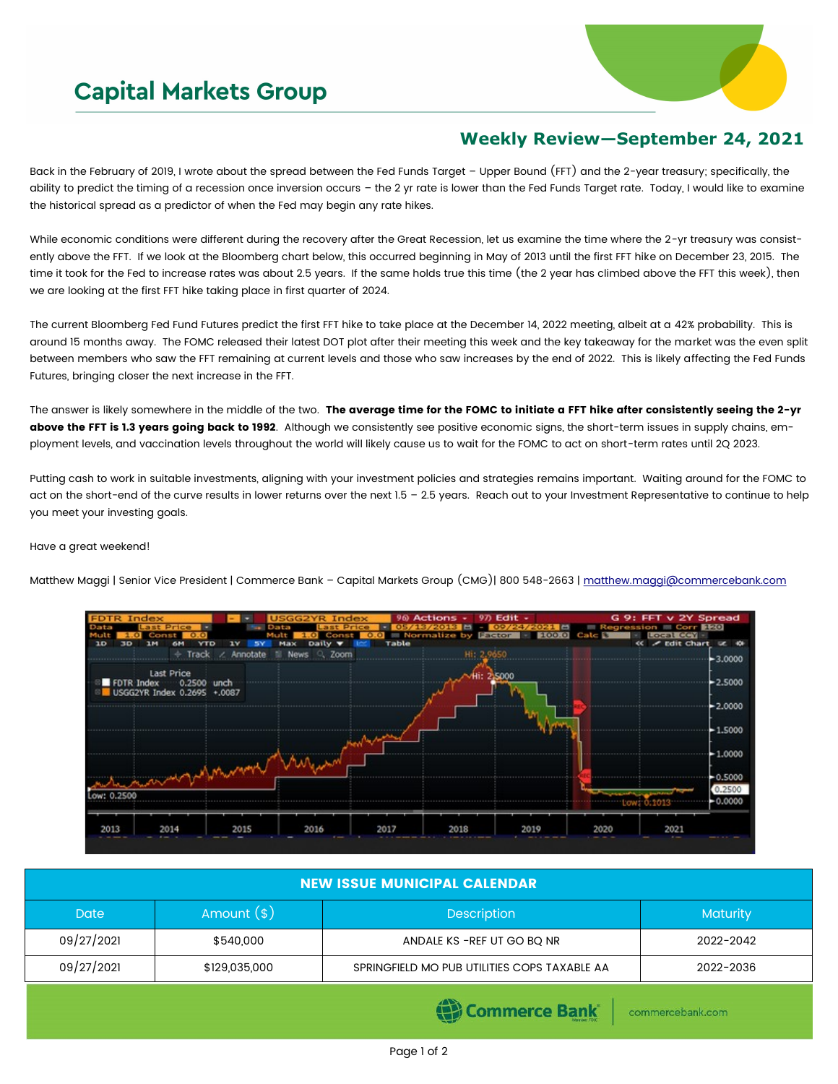## **Capital Markets Group**



## **Weekly Review—September 24, 2021**

Back in the February of 2019, I wrote about the spread between the Fed Funds Target – Upper Bound (FFT) and the 2-year treasury; specifically, the ability to predict the timing of a recession once inversion occurs – the 2 yr rate is lower than the Fed Funds Target rate. Today, I would like to examine the historical spread as a predictor of when the Fed may begin any rate hikes.

While economic conditions were different during the recovery after the Great Recession, let us examine the time where the 2-yr treasury was consistently above the FFT. If we look at the Bloomberg chart below, this occurred beginning in May of 2013 until the first FFT hike on December 23, 2015. The time it took for the Fed to increase rates was about 2.5 years. If the same holds true this time (the 2 year has climbed above the FFT this week), then we are looking at the first FFT hike taking place in first quarter of 2024.

The current Bloomberg Fed Fund Futures predict the first FFT hike to take place at the December 14, 2022 meeting, albeit at a 42% probability. This is around 15 months away. The FOMC released their latest DOT plot after their meeting this week and the key takeaway for the market was the even split between members who saw the FFT remaining at current levels and those who saw increases by the end of 2022. This is likely affecting the Fed Funds Futures, bringing closer the next increase in the FFT.

The answer is likely somewhere in the middle of the two. The average time for the FOMC to initiate a FFT hike after consistently seeing the 2-yr above the FFT is 1.3 years going back to 1992. Although we consistently see positive economic signs, the short-term issues in supply chains, employment levels, and vaccination levels throughout the world will likely cause us to wait for the FOMC to act on short-term rates until 2Q 2023.

Putting cash to work in suitable investments, aligning with your investment policies and strategies remains important. Waiting around for the FOMC to act on the short-end of the curve results in lower returns over the next 1.5 – 2.5 years. Reach out to your Investment Representative to continue to help you meet your investing goals.

## Have a great weekend!

Matthew Maggi | Senior Vice President | Commerce Bank - Capital Markets Group (CMG)| 800 548-2663 | [matthew.maggi@commercebank.com](mailto:matthew.maggi@commercebank.com)



| <b>NEW ISSUE MUNICIPAL CALENDAR</b> |               |                                              |                 |  |  |  |  |
|-------------------------------------|---------------|----------------------------------------------|-----------------|--|--|--|--|
| <b>Date</b>                         | Amount $(*)$  | <b>Description</b>                           | <b>Maturity</b> |  |  |  |  |
| 09/27/2021                          | \$540,000     | ANDALE KS - REF UT GO BQ NR                  | 2022-2042       |  |  |  |  |
| 09/27/2021                          | \$129,035,000 | SPRINGFIELD MO PUB UTILITIES COPS TAXABLE AA | 2022-2036       |  |  |  |  |

(B) Commerce Bank

commercebank.com